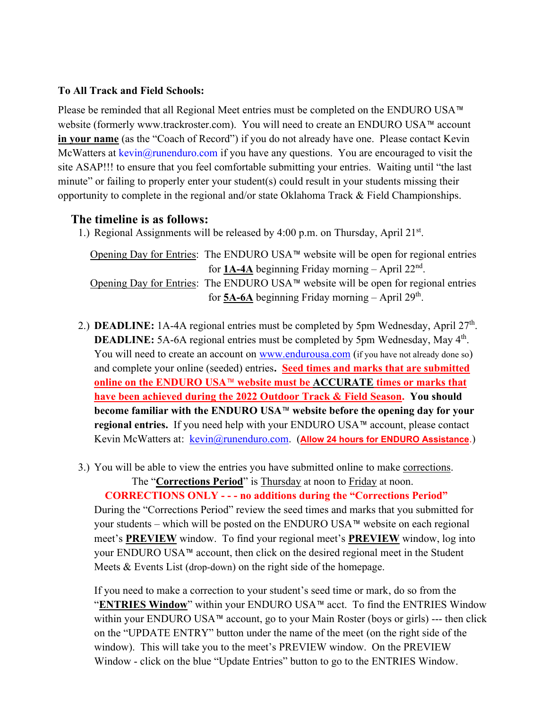## **To All Track and Field Schools:**

Please be reminded that all Regional Meet entries must be completed on the ENDURO USA™ website (formerly www.trackroster.com). You will need to create an ENDURO USA™ account **in your name** (as the "Coach of Record") if you do not already have one. Please contact Kevin McWatters at  $\text{kevin}(\partial \text{runenduro.com})$  if you have any questions. You are encouraged to visit the site ASAP!!! to ensure that you feel comfortable submitting your entries. Waiting until "the last minute" or failing to properly enter your student(s) could result in your students missing their opportunity to complete in the regional and/or state Oklahoma Track  $\&$  Field Championships.

## **The timeline is as follows:**

1.) Regional Assignments will be released by 4:00 p.m. on Thursday, April 21st.

Opening Day for Entries: The ENDURO USA™ website will be open for regional entries for  $1A-4A$  beginning Friday morning – April  $22<sup>nd</sup>$ . Opening Day for Entries: The ENDURO USA™ website will be open for regional entries for  $\underline{\mathbf{5A\text{-}6A}}$  beginning Friday morning – April 29<sup>th</sup>.

- 2.) **DEADLINE:** 1A-4A regional entries must be completed by 5pm Wednesday, April  $27<sup>th</sup>$ . **DEADLINE:** 5A-6A regional entries must be completed by 5pm Wednesday, May 4<sup>th</sup>. You will need to create an account on www.endurousa.com (if you have not already done so) and complete your online (seeded) entries**. Seed times and marks that are submitted online on the ENDURO USA**™ **website must be ACCURATE times or marks that have been achieved during the 2022 Outdoor Track & Field Season. You should become familiar with the ENDURO USA**™ **website before the opening day for your regional entries.** If you need help with your ENDURO USA™ account, please contact Kevin McWatters at: **kevin@runenduro.com.** (**Allow 24 hours for ENDURO Assistance**.)
- 3.) You will be able to view the entries you have submitted online to make corrections.

The "**Corrections Period**" is Thursday at noon to Friday at noon.

 **CORRECTIONS ONLY - - - no additions during the "Corrections Period"** During the "Corrections Period" review the seed times and marks that you submitted for your students – which will be posted on the ENDURO USA™ website on each regional meet's **PREVIEW** window. To find your regional meet's **PREVIEW** window, log into your ENDURO USA™ account, then click on the desired regional meet in the Student Meets & Events List (drop-down) on the right side of the homepage.

If you need to make a correction to your student's seed time or mark, do so from the "**ENTRIES Window**" within your ENDURO USA™ acct. To find the ENTRIES Window within your ENDURO USA™ account, go to your Main Roster (boys or girls) --- then click on the "UPDATE ENTRY" button under the name of the meet (on the right side of the window). This will take you to the meet's PREVIEW window. On the PREVIEW Window - click on the blue "Update Entries" button to go to the ENTRIES Window.